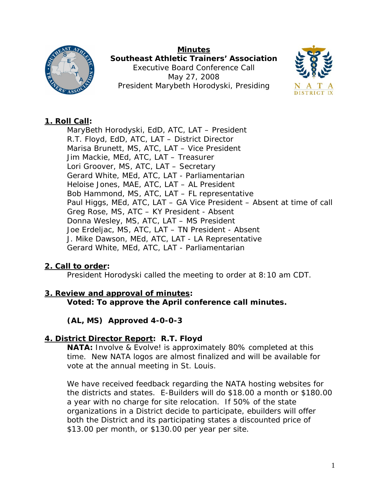

**Minutes Southeast Athletic Trainers' Association**  Executive Board Conference Call May 27, 2008 President Marybeth Horodyski, Presiding



## **1. Roll Call:**

MaryBeth Horodyski, EdD, ATC, LAT – President R.T. Floyd, EdD, ATC, LAT – District Director Marisa Brunett, MS, ATC, LAT – Vice President Jim Mackie, MEd, ATC, LAT – Treasurer Lori Groover, MS, ATC, LAT – Secretary Gerard White, MEd, ATC, LAT - Parliamentarian Heloise Jones, MAE, ATC, LAT – AL President Bob Hammond, MS, ATC, LAT – FL representative Paul Higgs, MEd, ATC, LAT – GA Vice President – Absent at time of call Greg Rose, MS, ATC – KY President - Absent Donna Wesley, MS, ATC, LAT – MS President Joe Erdeljac, MS, ATC, LAT – TN President - Absent J. Mike Dawson, MEd, ATC, LAT - LA Representative Gerard White, MEd, ATC, LAT - Parliamentarian

## **2. Call to order:**

President Horodyski called the meeting to order at 8:10 am CDT.

# **3. Review and approval of minutes:**

**Voted: To approve the April conference call minutes.** 

**(AL, MS) Approved 4-0-0-3**

## **4. District Director Report: R.T. Floyd**

**NATA:** Involve & Evolve! is approximately 80% completed at this time. New NATA logos are almost finalized and will be available for vote at the annual meeting in St. Louis.

We have received feedback regarding the NATA hosting websites for the districts and states. E-Builders will do \$18.00 a month or \$180.00 a year with no charge for site relocation. If 50% of the state organizations in a District decide to participate, ebuilders will offer both the District and its participating states a discounted price of \$13.00 per month, or \$130.00 per year per site.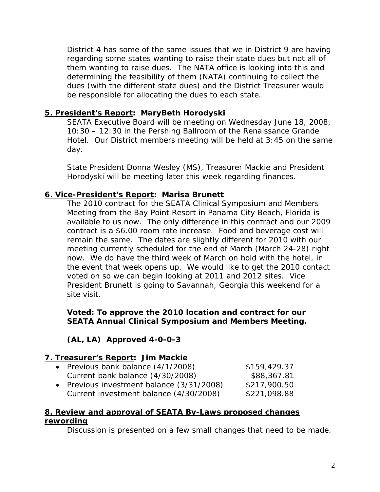District 4 has some of the same issues that we in District 9 are having regarding some states wanting to raise their state dues but not all of them wanting to raise dues. The NATA office is looking into this and determining the feasibility of them (NATA) continuing to collect the dues (with the different state dues) and the District Treasurer would be responsible for allocating the dues to each state.

#### **5. President's Report: MaryBeth Horodyski**

SEATA Executive Board will be meeting on Wednesday June 18, 2008, 10:30 – 12:30 in the Pershing Ballroom of the Renaissance Grande Hotel. Our District members meeting will be held at 3:45 on the same day.

State President Donna Wesley (MS), Treasurer Mackie and President Horodyski will be meeting later this week regarding finances.

### **6. Vice-President's Report: Marisa Brunett**

The 2010 contract for the SEATA Clinical Symposium and Members Meeting from the Bay Point Resort in Panama City Beach, Florida is available to us now. The only difference in this contract and our 2009 contract is a \$6.00 room rate increase. Food and beverage cost will remain the same. The dates are slightly different for 2010 with our meeting currently scheduled for the end of March (March 24-28) right now. We do have the third week of March on hold with the hotel, in the event that week opens up. We would like to get the 2010 contact voted on so we can begin looking at 2011 and 2012 sites. Vice President Brunett is going to Savannah, Georgia this weekend for a site visit.

#### **Voted: To approve the 2010 location and contract for our SEATA Annual Clinical Symposium and Members Meeting.**

## **(AL, LA) Approved 4-0-0-3**

#### **7. Treasurer's Report: Jim Mackie**

| • Previous bank balance (4/1/2008)        | \$159,429.37 |
|-------------------------------------------|--------------|
| Current bank balance (4/30/2008)          | \$88,367.81  |
| • Previous investment balance (3/31/2008) | \$217,900.50 |
| Current investment balance (4/30/2008)    | \$221,098.88 |

#### **8. Review and approval of SEATA By-Laws proposed changes rewording**

Discussion is presented on a few small changes that need to be made.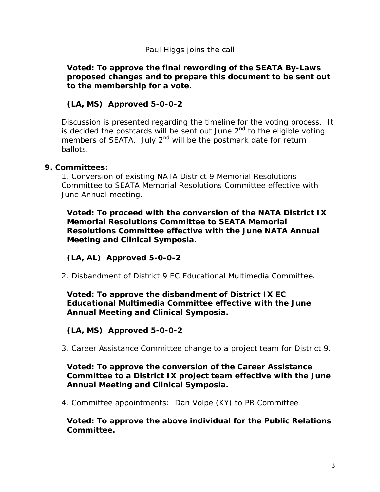#### *Paul Higgs joins the call*

#### **Voted: To approve the final rewording of the SEATA By-Laws proposed changes and to prepare this document to be sent out to the membership for a vote.**

## **(LA, MS) Approved 5-0-0-2**

Discussion is presented regarding the timeline for the voting process. It is decided the postcards will be sent out June  $2^{nd}$  to the eligible voting members of SEATA. July 2<sup>nd</sup> will be the postmark date for return ballots.

#### **9. Committees:**

1. Conversion of existing NATA District 9 Memorial Resolutions Committee to SEATA Memorial Resolutions Committee effective with June Annual meeting.

**Voted: To proceed with the conversion of the NATA District IX Memorial Resolutions Committee to SEATA Memorial Resolutions Committee effective with the June NATA Annual Meeting and Clinical Symposia.** 

#### **(LA, AL) Approved 5-0-0-2**

2. Disbandment of District 9 EC Educational Multimedia Committee.

#### **Voted: To approve the disbandment of District IX EC Educational Multimedia Committee effective with the June Annual Meeting and Clinical Symposia.**

#### **(LA, MS) Approved 5-0-0-2**

3. Career Assistance Committee change to a project team for District 9.

#### **Voted: To approve the conversion of the Career Assistance Committee to a District IX project team effective with the June Annual Meeting and Clinical Symposia.**

4. Committee appointments: Dan Volpe (KY) to PR Committee

**Voted: To approve the above individual for the Public Relations Committee.**